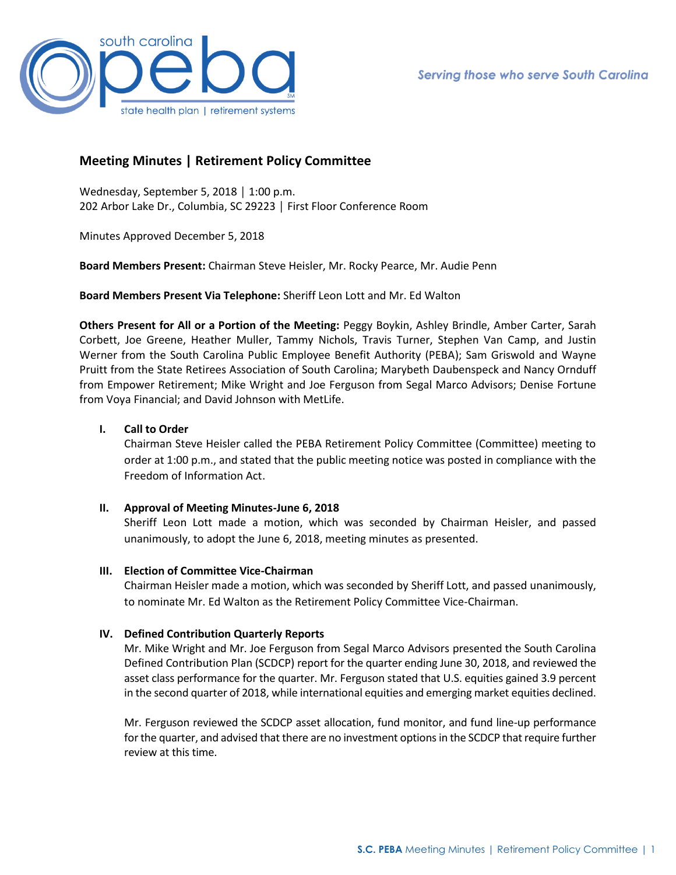

# **Meeting Minutes | Retirement Policy Committee**

Wednesday, September 5, 2018 │ 1:00 p.m. 202 Arbor Lake Dr., Columbia, SC 29223 │ First Floor Conference Room

Minutes Approved December 5, 2018

**Board Members Present:** Chairman Steve Heisler, Mr. Rocky Pearce, Mr. Audie Penn

**Board Members Present Via Telephone:** Sheriff Leon Lott and Mr. Ed Walton

**Others Present for All or a Portion of the Meeting:** Peggy Boykin, Ashley Brindle, Amber Carter, Sarah Corbett, Joe Greene, Heather Muller, Tammy Nichols, Travis Turner, Stephen Van Camp, and Justin Werner from the South Carolina Public Employee Benefit Authority (PEBA); Sam Griswold and Wayne Pruitt from the State Retirees Association of South Carolina; Marybeth Daubenspeck and Nancy Ornduff from Empower Retirement; Mike Wright and Joe Ferguson from Segal Marco Advisors; Denise Fortune from Voya Financial; and David Johnson with MetLife.

# **I. Call to Order**

Chairman Steve Heisler called the PEBA Retirement Policy Committee (Committee) meeting to order at 1:00 p.m., and stated that the public meeting notice was posted in compliance with the Freedom of Information Act.

## **II. Approval of Meeting Minutes-June 6, 2018**

Sheriff Leon Lott made a motion, which was seconded by Chairman Heisler, and passed unanimously, to adopt the June 6, 2018, meeting minutes as presented.

## **III. Election of Committee Vice-Chairman**

Chairman Heisler made a motion, which was seconded by Sheriff Lott, and passed unanimously, to nominate Mr. Ed Walton as the Retirement Policy Committee Vice-Chairman.

# **IV. Defined Contribution Quarterly Reports**

Mr. Mike Wright and Mr. Joe Ferguson from Segal Marco Advisors presented the South Carolina Defined Contribution Plan (SCDCP) report for the quarter ending June 30, 2018, and reviewed the asset class performance for the quarter. Mr. Ferguson stated that U.S. equities gained 3.9 percent in the second quarter of 2018, while international equities and emerging market equities declined.

Mr. Ferguson reviewed the SCDCP asset allocation, fund monitor, and fund line-up performance for the quarter, and advised that there are no investment options in the SCDCP that require further review at this time.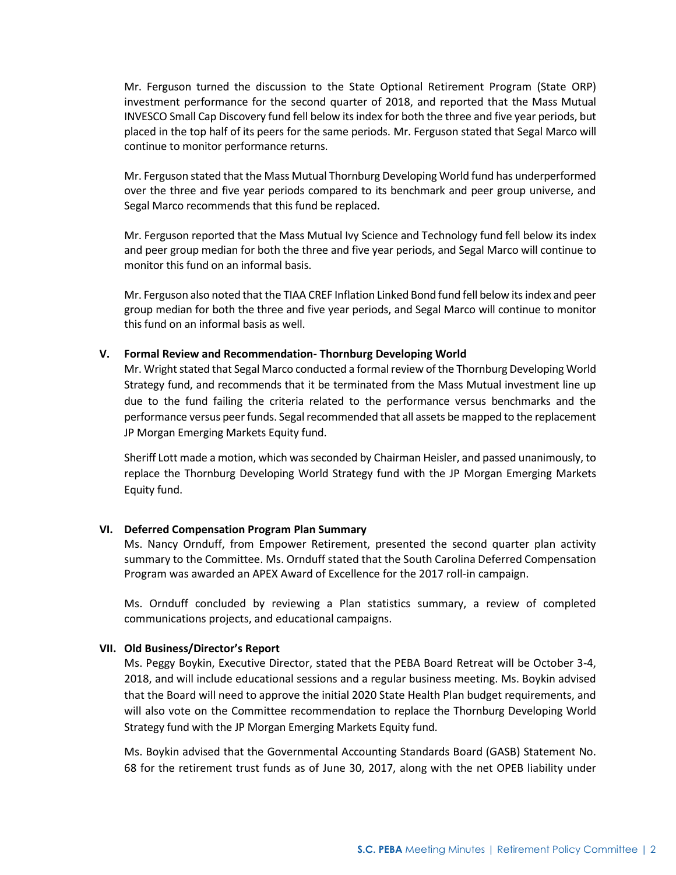Mr. Ferguson turned the discussion to the State Optional Retirement Program (State ORP) investment performance for the second quarter of 2018, and reported that the Mass Mutual INVESCO Small Cap Discovery fund fell below its index for both the three and five year periods, but placed in the top half of its peers for the same periods. Mr. Ferguson stated that Segal Marco will continue to monitor performance returns.

Mr. Ferguson stated that the Mass Mutual Thornburg Developing World fund has underperformed over the three and five year periods compared to its benchmark and peer group universe, and Segal Marco recommends that this fund be replaced.

Mr. Ferguson reported that the Mass Mutual Ivy Science and Technology fund fell below its index and peer group median for both the three and five year periods, and Segal Marco will continue to monitor this fund on an informal basis.

Mr. Ferguson also noted that the TIAA CREF Inflation Linked Bond fund fell below its index and peer group median for both the three and five year periods, and Segal Marco will continue to monitor this fund on an informal basis as well.

### **V. Formal Review and Recommendation- Thornburg Developing World**

Mr. Wright stated that Segal Marco conducted a formal review of the Thornburg Developing World Strategy fund, and recommends that it be terminated from the Mass Mutual investment line up due to the fund failing the criteria related to the performance versus benchmarks and the performance versus peer funds. Segal recommended that all assets be mapped to the replacement JP Morgan Emerging Markets Equity fund.

Sheriff Lott made a motion, which was seconded by Chairman Heisler, and passed unanimously, to replace the Thornburg Developing World Strategy fund with the JP Morgan Emerging Markets Equity fund.

#### **VI. Deferred Compensation Program Plan Summary**

Ms. Nancy Ornduff, from Empower Retirement, presented the second quarter plan activity summary to the Committee. Ms. Ornduff stated that the South Carolina Deferred Compensation Program was awarded an APEX Award of Excellence for the 2017 roll-in campaign.

Ms. Ornduff concluded by reviewing a Plan statistics summary, a review of completed communications projects, and educational campaigns.

#### **VII. Old Business/Director's Report**

Ms. Peggy Boykin, Executive Director, stated that the PEBA Board Retreat will be October 3-4, 2018, and will include educational sessions and a regular business meeting. Ms. Boykin advised that the Board will need to approve the initial 2020 State Health Plan budget requirements, and will also vote on the Committee recommendation to replace the Thornburg Developing World Strategy fund with the JP Morgan Emerging Markets Equity fund.

Ms. Boykin advised that the Governmental Accounting Standards Board (GASB) Statement No. 68 for the retirement trust funds as of June 30, 2017, along with the net OPEB liability under